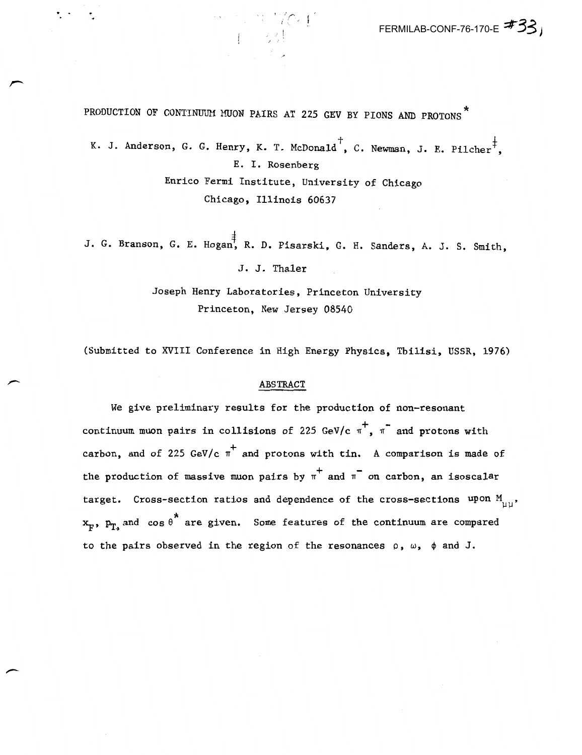PRODUCTION OF CONTINUUM MUON PAIRS AT 225 GEV BY PIONS AND PROTONS

K. J. Anderson, G. G. Henry, K. T. McDonald<sup>+</sup>, C. Newman, J. E. Pilcher<sup>+</sup>. E. I. Rosenberg Enrico Fermi Institute, University of Chicago

Chicago, Illinois 60637

J. G. Branson, G. E. Hogan, R. D. Pisarski, G. H. Sanders, A. J. S. Smith,

J. J. Thaler

Joseph Henry Laboratories, Princeton University Princeton, New Jersey 08540

(Submitted to XVIII Conference in High Energy Physics. Tbilisi, USSR, 1976)

## ABSTRACT

We give preliminary results for the production of non-resonant continuum muon pairs in collisions of 225 GeV/c  $\pi$ ,  $\pi$  and protons with carbon, and of 225 GeV/c  $\pi^+$  and protons with tin. A comparison is made of the production of massive muon pairs by  $\pi^+$  and  $\pi^-$  on carbon, an isoscalar target. Cross-section ratios and dependence of the cross-sections upon  $M_{_{111}}$ ,  $x_F$ ,  $p_T$  and cos  $e^*$  are given. Some features of the continuum are compared to the pairs observed in the region of the resonances  $\rho$ ,  $\omega$ ,  $\phi$  and J.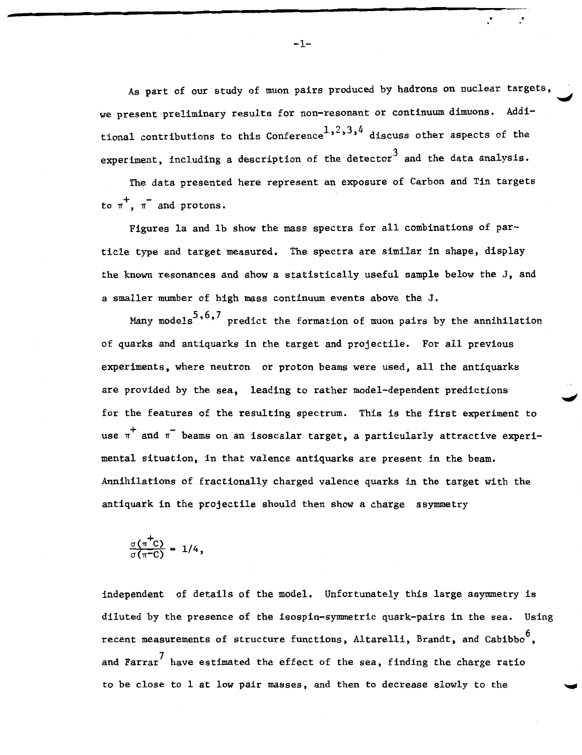As part of our study of muon pairs produced by hadrons on nuclear targets, we present preliminary results for non-resonant or continuum dimuons. Additional contributions to this Conference<sup>1</sup>,<sup>2</sup>,<sup>3</sup>,<sup>4</sup> discuss other aspects of the experiment, including a description of the detector<sup>3</sup> and the data analysis.

The data presented here represent an exposure of Carbon and Tin targets to  $\pi^+$ ,  $\pi^-$  and protons.

Figures 1a and 1b show the mass spectra for all combinations of partic1e type and target measured. The spectra are similar in shape, display the known resonances and show a statistically useful sample below the J, and a smaller mumber of high mass continuum events above the J.

Many models<sup>5</sup>,<sup>6</sup>,<sup>7</sup> predict the formation of muon pairs by the annihilation of quarks and antiquarks in the target and projectile. For all previous experiments, where neutron or proton beams were used, all the antiquarks are provided by the sea, leading to rather model-dependent predictions for the features of the resulting spectrum. This is the first experiment to use  $\pi^+$  and  $\pi^-$  beams on an isoscalar target, a particularly attractive experimental situation, in that valence antiquarks are present in the beam. Annihilations of fractionally charged valence quarks in the target with the antiquark in the projectile should then show a charge asymmetry

$$
\frac{\sigma(\pi^+C)}{\sigma(\pi^-C)} = 1/4,
$$

independent of details of the model. Unfortunately this large asymmetry is diluted by the presence of the isospin-symmetric quark-pairs in the sea. Using recent measurements of structure functions, Altarelli, Brandt, and Cabibbo<sup>0</sup>, and Farrar<sup>'</sup> have estimated the effect of the sea, finding the charge ratio to be close to 1 at low pair masses, and then to decrease slowly to the

 $\ddot{\cdot}$  .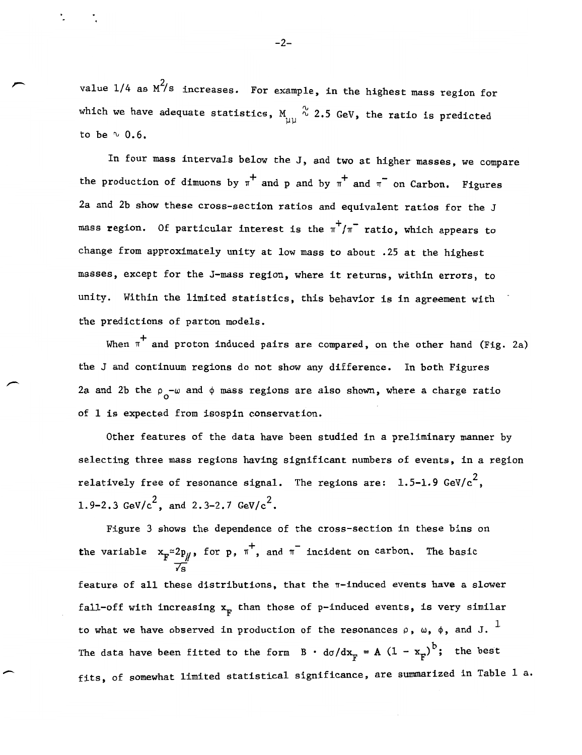value  $1/4$  as  $M^2/s$  increases. For example, in the highest mass region for which we have adequate statistics,  $M_{\text{uu}} \overset{\gamma}{\sim} 2.5$  GeV, the ratio is predicted to be  $\sim$  0.6.

In four mass intervals below the J, and two at higher masses, we compare the production of dimuons by  $\pi^+$  and p and by  $\pi^+$  and  $\pi^-$  on Carbon. Figures 2a and 2b show these cross-section ratios and equivalent ratios for the J mass region. Of particular interest is the  $\pi^{+}/\pi^{-}$  ratio, which appears to change from approximately unity at low mass to about .25 at the highest masses, except for the J-mass region, where it returns, within errors, to unity. Within the limited statistics, this behavior is in agreement with the predictions of parton models.

When  $\pi^+$  and proton induced pairs are compared, on the other hand (Fig. 2a) the J and continuum regions do not show any difference. In both Figures 2a and 2b the  $\rho_o$ - $\omega$  and  $\phi$  mass regions are also shown, where a charge ratio of 1 is expected from isospin conservation.

Other features of the data have been studied in a preliminary manner by selecting three mass regions having significant numbers of events, in a region relatively free of resonance signal. The regions are:  $1.5-1.9$  GeV/c<sup>2</sup>, 1.9-2.3 GeV/ $c^2$ , and 2.3-2.7 GeV/ $c^2$ .

Figure 3 shows the dependence of the cross-section in these bins on the variable  $x_{F} \approx 2p_{H}$ , for p,  $\pi^{+}$ , and  $\pi^{-}$  incident on carbon. The basic  $\sqrt{s}$ 

feature of all these distributions, that the  $\pi$ -induced events have a slower fall-off with increasing  $x_F$  than those of p-induced events, is very similar to what we have observed in production of the resonances  $\rho$ ,  $\omega$ ,  $\phi$ , and J.  $^1$ The data have been fitted to the form  $B \cdot d\sigma/dx_{F} = A (1 - x_{F})^{b}$ ; the best fits, of somewhat limited statistical significance, are summarized in Table 1 a.

-2-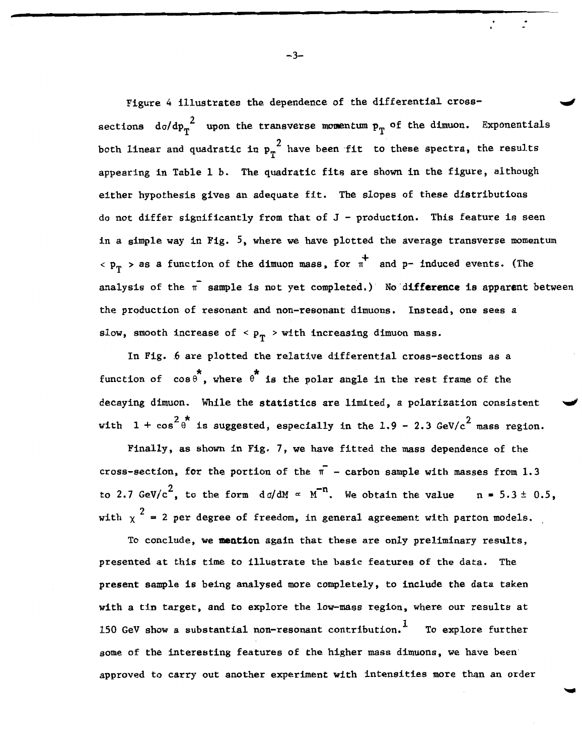Figure 4 illustrates the dependence of the differential crosssections  $d\sigma/dp_r^2$  upon the transverse momentum  $p_T^{\dagger}$  of the dimuon. Exponentials both linear and quadratic in  $p_T^2$  have been fit to these spectra, the results appearing in Table 1 b. The quadratic fits are shown in the figure, although either hypothesis gives an adequate fit. The slopes of these distributions do not differ significantly from that of  $J$  - production. This feature is seen in a simple way in Fig. 5, where we have plotted the average transverse momentum  $\langle p_T \rangle$  as a function of the dimuon mass, for  $\pi^+$  and p- induced events. (The analysis of the  $\pi^-$  sample is not yet completed.) No difference is apparent between the production of resonant and non-resonant dimuons. Instead, one sees a slow, smooth increase of  $p_{\text{p}} >$  with increasing dimuon mass.

In Fig. 6 are plotted the relative differential cross-sections as a function of  $cos \theta$ , where  $\theta$  is the polar angle in the rest frame of the decaying dimuon. While the statistics are limited, a polarization consistent with  $1 + \cos^2 \theta^*$  is suggested, especially in the 1.9 - 2.3 GeV/c<sup>2</sup> mass region.

Finally, as shown in Fig. 7, we have fitted the mass dependence of the cross-section, for the portion of the  $\bar{\mathfrak{n}}$  - carbon sample with masses from 1.3 to 2.7 GeV/c<sup>2</sup>, to the form  $d \sigma/dM \propto M^{-n}$ . We obtain the value  $n = 5.3 \pm 0.5$ , with  $\chi$ <sup>2</sup> = 2 per degree of freedom, in general agreement with parton models.

To conclude, we **mention** again that these are only preliminary results, presented at this time to illustrate the basic features of the data. The present sample is being analysed more completely, to include the data taken with a tin target, and to explore the low-mass region, where our results at 150 GeV show a substantial non-resonant contribution.  $<sup>1</sup>$  To explore further</sup> some of the interesting features of the higher mass dimuons, we have been approved to carry out another experiment with intensities more than an order

 $-3-$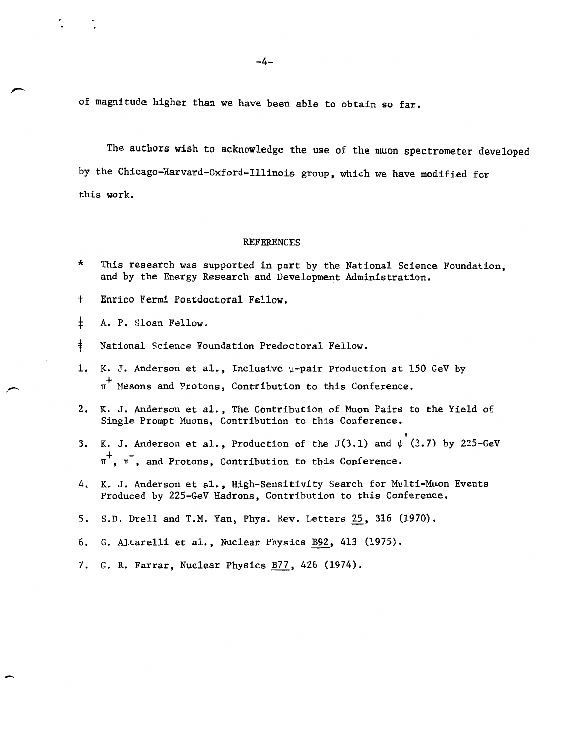of magnitude higher than we have been able to obtain so far.

The authors wish to acknowledge the use of the muon spectrometer developed by the Chicago-Harvard-Oxford-Illinois group, which we have modified for this work.

## REFERENCES

- \* This research was supported in part by the National Science Foundation, and by the Energy Research and Development Administration.
- t Enrico Fermi Postdoctoral Fellow.
- $\pm$ A. P. Sloan Fellow.

 $\overline{\phantom{0}}$ 

- $\ddagger$ National Science Foundation Predoctoral Fellow.
- 1.-K. J. Anderson et al., Inclusive  $\mu$ -pair Production at 150 GeV by  $\pi^+$  Mesons and Protons, Contribution to this Conference.
- 2.- K. J. Anderson et a1., The Contribution of Muon Pairs to the Yield of Single Prompt Muons, Contribution to this Conference. ,
- 3. K. J. Anderson et al., Production of the J(3.1) and  $\psi$  (3.7) by 225-GeV  $\pi^+$ ,  $\pi^-$ , and Protons, Contribution to this Conference.
- 4. K. J. Anderson et al., High-Sensitivity Search for Multi-Muon Events Produced by 225-GeV Hadrons, Contribution to this Conference.
- 5. S.D. Drell and T.M. Yan, Phys. Rev. Letters 25, 316 (1970).
- 6. G. Altarelli et al., Nuclear Physics **B92**, 413 (1975).
- 7. G. R. Farrar, Nuclear Physics **B77**, 426 (1974).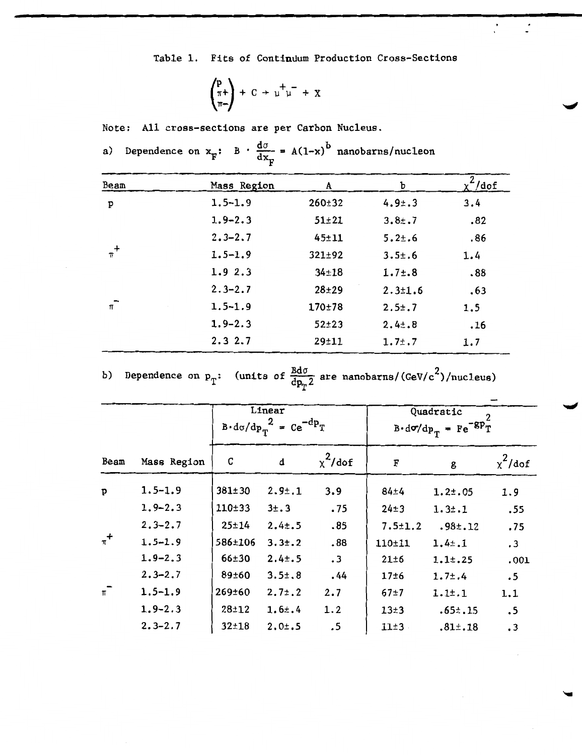Table 1. Fits of Continuum Production Cross-Sections

$$
\begin{pmatrix} p \\ \pi + \\ \pi - \end{pmatrix} + C \rightarrow \mu^+ \mu^- + X
$$

Note: All cross-sections are per Carbon Nucleus.

|         | ⊤F          |              |               |             |
|---------|-------------|--------------|---------------|-------------|
| Beam    | Mass Region | A            | Ъ             | 2<br>χ"/dof |
| p       | $1.5 - 1.9$ | $260 \pm 32$ | 4.91.3        | 3.4         |
|         | $1.9 - 2.3$ | $51 + 21$    | $3.8 \pm .7$  | .82         |
|         | $2.3 - 2.7$ | $45 + 11$    | $5.2 \pm .6$  | .86         |
| $\pi^+$ | $1.5 - 1.9$ | $321 \pm 92$ | $3.5 + .6$    | 1.4         |
|         | 1.92.3      | $34 + 18$    | 1.7:3         | .88         |
|         | $2.3 - 2.7$ | $28 + 29$    | $2.3 \pm 1.6$ | .63         |
| $\pi^-$ | $1.5 - 1.9$ | 170±78       | $2.5 \pm .7$  | 1.5         |
|         | $1.9 - 2.3$ | $52 \pm 23$  | $2.4 \pm .8$  | .16         |
|         | 2.32.7      | $29 + 11$    | 1.7:.7        | 1.7         |

a) Dependence on  $x_F$ : B  $\cdot \frac{d\sigma}{dx_F} = A(1-x)^b$  nanobarns/nucleon

b) Dependence on  $p_T$ : (units of  $\frac{Bd\sigma}{dp_T^2}$  are nanobarns/(GeV/c<sup>2</sup>)/nucleus)

|         |             | Linear<br>$B \cdot d\sigma/dp_T^2 = Ce^{-dp}T$ |              |            | Quadratic<br>$B \cdot d\sigma/dp_T = Fe^{-8P_T}$ |               |               |
|---------|-------------|------------------------------------------------|--------------|------------|--------------------------------------------------|---------------|---------------|
| Beam    | Mass Region | C                                              | d            | $x^2$ /dof | F                                                | g             | $\chi^2$ /dof |
| p       | $1.5 - 1.9$ | $381 \pm 30$                                   | 2.9:1        | 3.9        | $84 + 4$                                         | 1.21.05       | 1.9           |
|         | $1.9 - 2.3$ | $110 + 33$                                     | 3±.3         | .75        | $24 \pm 3$                                       | 1.31.1        | .55           |
|         | $2.3 - 2.7$ | $25 + 14$                                      | 2.4:5        | .85        | $7.5 \pm 1.2$                                    | .98:12        | .75           |
| $\pi^+$ | $1.5 - 1.9$ | 586±106                                        | $3.3 \pm .2$ | .88        | $110 + 11$                                       | 1.4:1         | $\cdot$ 3     |
|         | $1.9 - 2.3$ | $66 \pm 30$                                    | $2.4 \pm .5$ | $\cdot$ 3  | 21±6                                             | 1.1:25        | .001          |
|         | $2.3 - 2.7$ | 89±60                                          | 3.51.8       | .44        | 17±6                                             | 1.7:4         | $\cdot$ 5     |
| $\pi^-$ | $1.5 - 1.9$ | 269±60                                         | $2.7 \pm .2$ | 2.7        | $67+7$                                           | 1.11.1        | 1.1           |
|         | $1.9 - 2.3$ | $28 + 12$                                      | 1.6:4        | 1.2        | 13±3                                             | $.65 \pm .15$ | .5            |
|         | $2.3 - 2.7$ | $32 + 18$                                      | 2.01.5       | .5         | $11\pm3$                                         | .81: .18      | $\cdot$ 3     |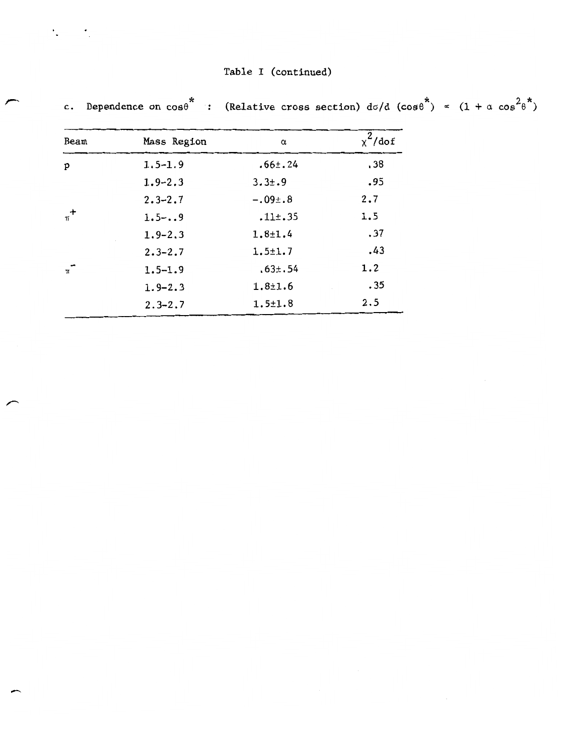c. Dependence on  $cos\theta$  : (Relative cross section)  $d\sigma/d$  ( $cos\theta$ <sup>\*</sup>)  $\propto$   $(1 + \alpha cos^2\theta$ <sup>\*</sup>)

| Beam    | Mass Region | α             | $\chi^2$ /dof |  |
|---------|-------------|---------------|---------------|--|
|         |             |               |               |  |
| P       | $1.5 - 1.9$ | $.66 \pm .24$ | .38           |  |
|         | $1.9 - 2.3$ | $3.3 \pm .9$  | .95           |  |
|         | $2.3 - 2.7$ | $-.09:08$     | 2,7           |  |
| $\pi^+$ | $1.5 -9$    | .11: .35      | 1.5           |  |
|         | $1.9 - 2.3$ | $1.8 + 1.4$   | .37           |  |
|         | $2.3 - 2.7$ | $1.5 + 1.7$   | .43           |  |
| $\pi$   | $1.5 - 1.9$ | .63: .54      | 1.2           |  |
|         | $1.9 - 2.3$ | $1.8 + 1.6$   | .35           |  |
|         | $2.3 - 2.7$ | $1.5 \pm 1.8$ | 2.5           |  |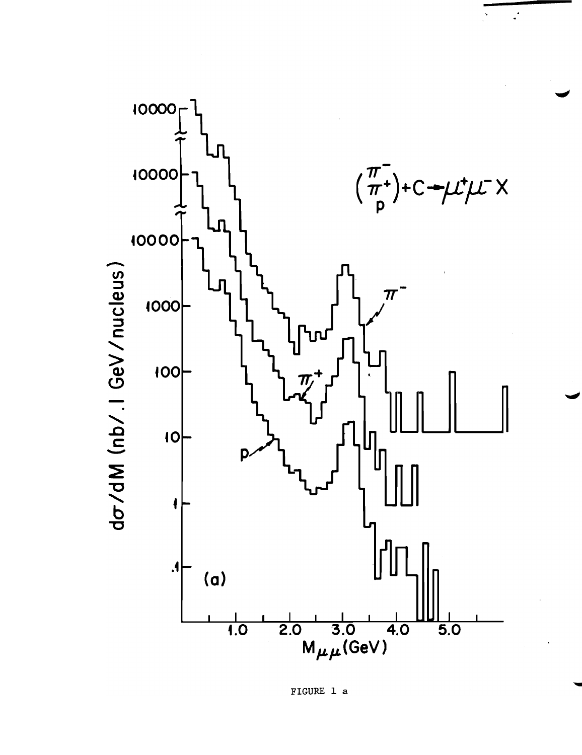

 $\mathbb{Z}^2$ 

FIGURE 1 a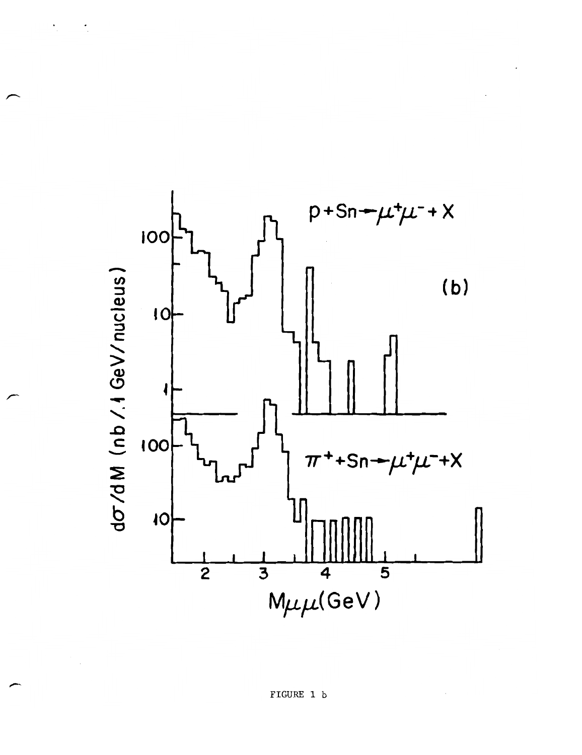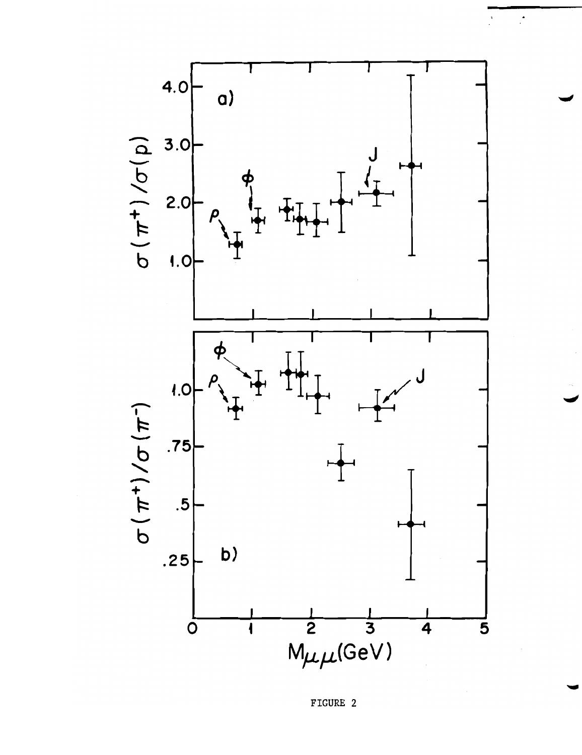

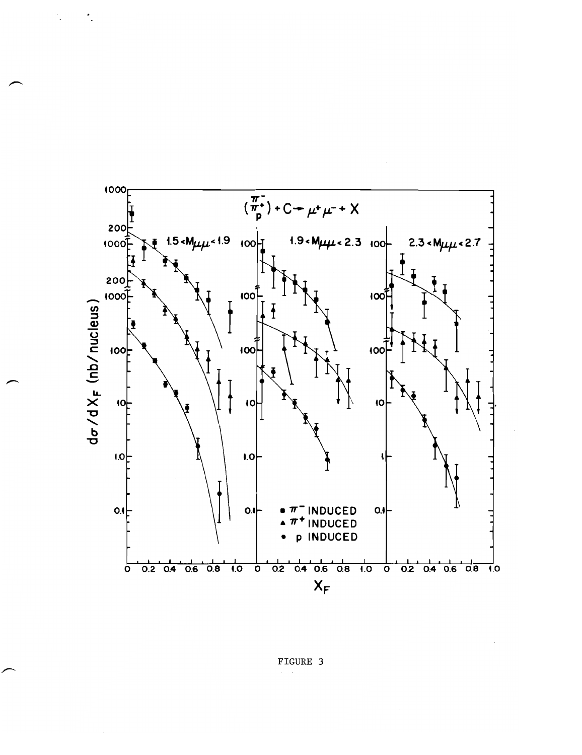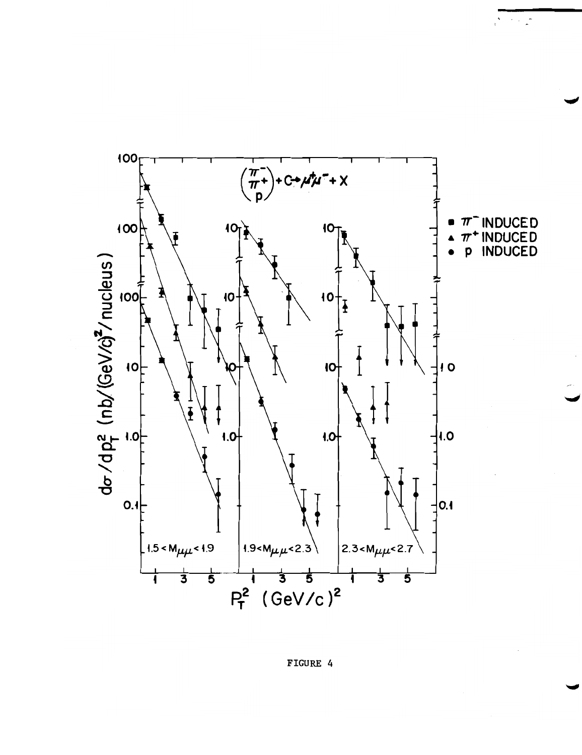

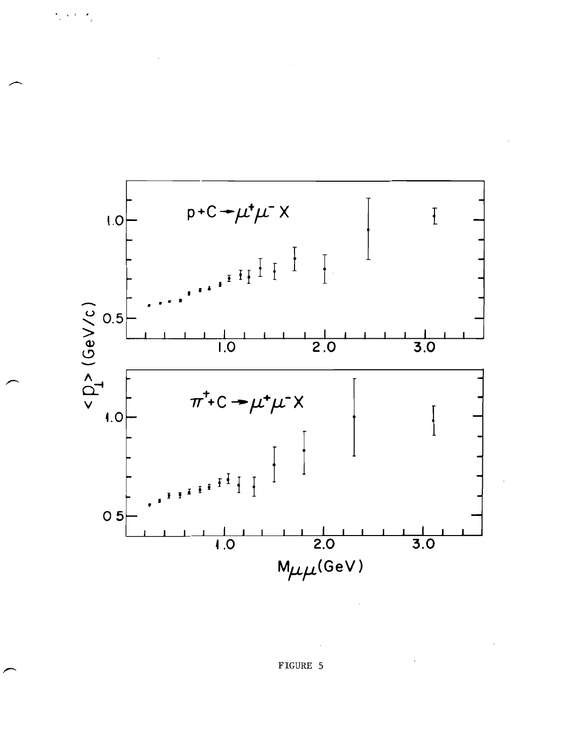

## FIGURE 5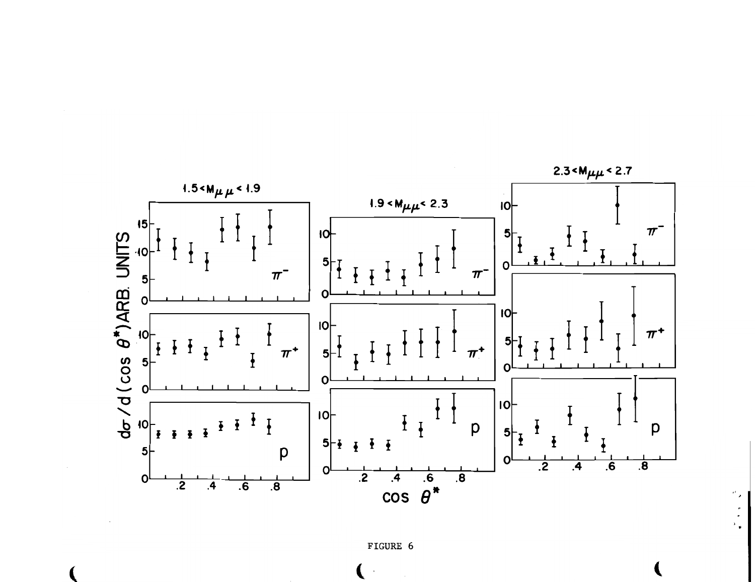

FIGURE 6